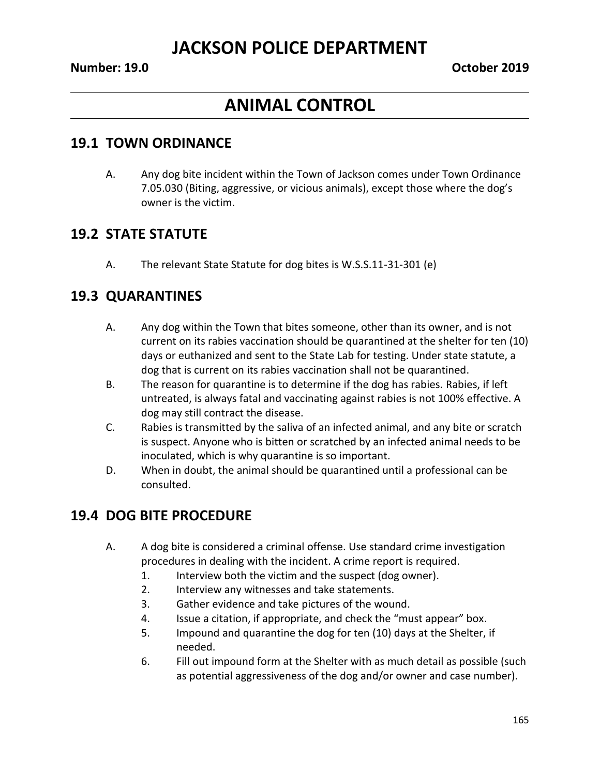## **ANIMAL CONTROL**

#### **19.1 TOWN ORDINANCE**

A. Any dog bite incident within the Town of Jackson comes under Town Ordinance 7.05.030 (Biting, aggressive, or vicious animals), except those where the dog's owner is the victim.

#### **19.2 STATE STATUTE**

A. The relevant State Statute for dog bites is W.S.S.11-31-301 (e)

#### **19.3 QUARANTINES**

- A. Any dog within the Town that bites someone, other than its owner, and is not current on its rabies vaccination should be quarantined at the shelter for ten (10) days or euthanized and sent to the State Lab for testing. Under state statute, a dog that is current on its rabies vaccination shall not be quarantined.
- B. The reason for quarantine is to determine if the dog has rabies. Rabies, if left untreated, is always fatal and vaccinating against rabies is not 100% effective. A dog may still contract the disease.
- C. Rabies is transmitted by the saliva of an infected animal, and any bite or scratch is suspect. Anyone who is bitten or scratched by an infected animal needs to be inoculated, which is why quarantine is so important.
- D. When in doubt, the animal should be quarantined until a professional can be consulted.

### **19.4 DOG BITE PROCEDURE**

- A. A dog bite is considered a criminal offense. Use standard crime investigation procedures in dealing with the incident. A crime report is required.
	- 1. Interview both the victim and the suspect (dog owner).
	- 2. Interview any witnesses and take statements.
	- 3. Gather evidence and take pictures of the wound.
	- 4. Issue a citation, if appropriate, and check the "must appear" box.
	- 5. Impound and quarantine the dog for ten (10) days at the Shelter, if needed.
	- 6. Fill out impound form at the Shelter with as much detail as possible (such as potential aggressiveness of the dog and/or owner and case number).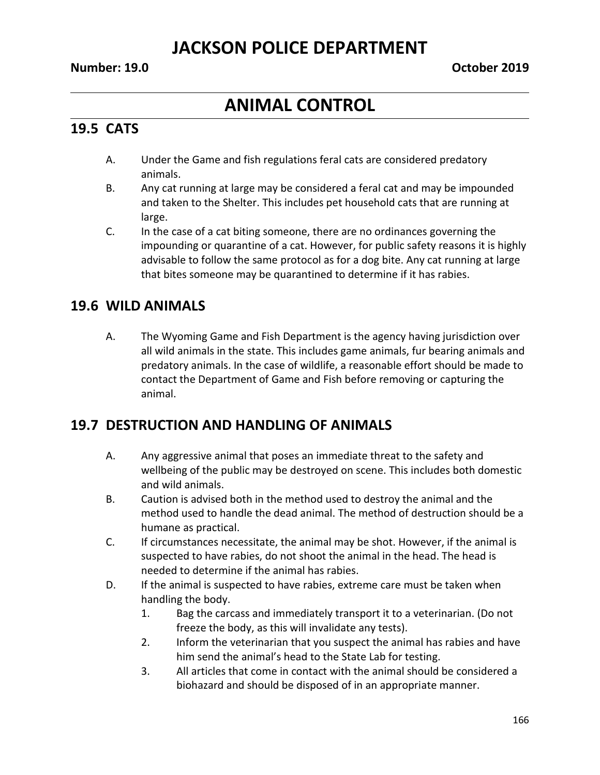## **ANIMAL CONTROL**

#### **19.5 CATS**

- A. Under the Game and fish regulations feral cats are considered predatory animals.
- B. Any cat running at large may be considered a feral cat and may be impounded and taken to the Shelter. This includes pet household cats that are running at large.
- C. In the case of a cat biting someone, there are no ordinances governing the impounding or quarantine of a cat. However, for public safety reasons it is highly advisable to follow the same protocol as for a dog bite. Any cat running at large that bites someone may be quarantined to determine if it has rabies.

#### **19.6 WILD ANIMALS**

A. The Wyoming Game and Fish Department is the agency having jurisdiction over all wild animals in the state. This includes game animals, fur bearing animals and predatory animals. In the case of wildlife, a reasonable effort should be made to contact the Department of Game and Fish before removing or capturing the animal.

#### **19.7 DESTRUCTION AND HANDLING OF ANIMALS**

- A. Any aggressive animal that poses an immediate threat to the safety and wellbeing of the public may be destroyed on scene. This includes both domestic and wild animals.
- B. Caution is advised both in the method used to destroy the animal and the method used to handle the dead animal. The method of destruction should be a humane as practical.
- C. If circumstances necessitate, the animal may be shot. However, if the animal is suspected to have rabies, do not shoot the animal in the head. The head is needed to determine if the animal has rabies.
- D. If the animal is suspected to have rabies, extreme care must be taken when handling the body.
	- 1. Bag the carcass and immediately transport it to a veterinarian. (Do not freeze the body, as this will invalidate any tests).
	- 2. Inform the veterinarian that you suspect the animal has rabies and have him send the animal's head to the State Lab for testing.
	- 3. All articles that come in contact with the animal should be considered a biohazard and should be disposed of in an appropriate manner.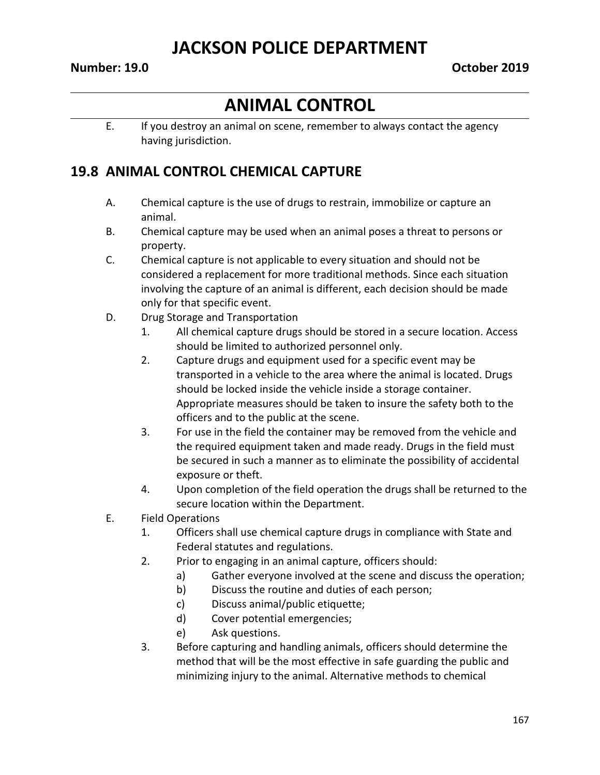# **ANIMAL CONTROL**

E. If you destroy an animal on scene, remember to always contact the agency having jurisdiction.

#### **19.8 ANIMAL CONTROL CHEMICAL CAPTURE**

- A. Chemical capture is the use of drugs to restrain, immobilize or capture an animal.
- B. Chemical capture may be used when an animal poses a threat to persons or property.
- C. Chemical capture is not applicable to every situation and should not be considered a replacement for more traditional methods. Since each situation involving the capture of an animal is different, each decision should be made only for that specific event.
- D. Drug Storage and Transportation
	- 1. All chemical capture drugs should be stored in a secure location. Access should be limited to authorized personnel only.
	- 2. Capture drugs and equipment used for a specific event may be transported in a vehicle to the area where the animal is located. Drugs should be locked inside the vehicle inside a storage container. Appropriate measures should be taken to insure the safety both to the officers and to the public at the scene.
	- 3. For use in the field the container may be removed from the vehicle and the required equipment taken and made ready. Drugs in the field must be secured in such a manner as to eliminate the possibility of accidental exposure or theft.
	- 4. Upon completion of the field operation the drugs shall be returned to the secure location within the Department.
- E. Field Operations
	- 1. Officers shall use chemical capture drugs in compliance with State and Federal statutes and regulations.
	- 2. Prior to engaging in an animal capture, officers should:
		- a) Gather everyone involved at the scene and discuss the operation;
		- b) Discuss the routine and duties of each person;
		- c) Discuss animal/public etiquette;
		- d) Cover potential emergencies;
		- e) Ask questions.
	- 3. Before capturing and handling animals, officers should determine the method that will be the most effective in safe guarding the public and minimizing injury to the animal. Alternative methods to chemical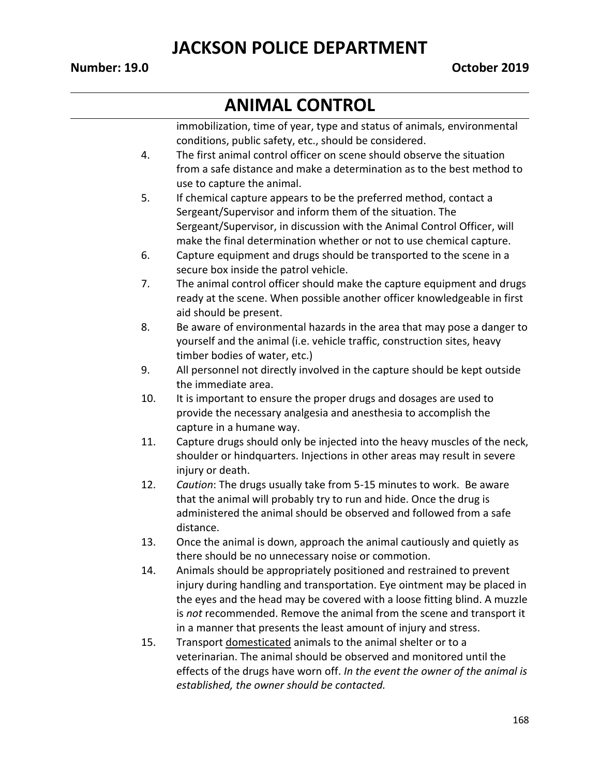# **ANIMAL CONTROL**

|     | immobilization, time of year, type and status of animals, environmental<br>conditions, public safety, etc., should be considered. |
|-----|-----------------------------------------------------------------------------------------------------------------------------------|
| 4.  | The first animal control officer on scene should observe the situation                                                            |
|     | from a safe distance and make a determination as to the best method to                                                            |
|     | use to capture the animal.                                                                                                        |
| 5.  | If chemical capture appears to be the preferred method, contact a                                                                 |
|     | Sergeant/Supervisor and inform them of the situation. The                                                                         |
|     | Sergeant/Supervisor, in discussion with the Animal Control Officer, will                                                          |
|     | make the final determination whether or not to use chemical capture.                                                              |
| 6.  | Capture equipment and drugs should be transported to the scene in a                                                               |
|     | secure box inside the patrol vehicle.                                                                                             |
| 7.  | The animal control officer should make the capture equipment and drugs                                                            |
|     | ready at the scene. When possible another officer knowledgeable in first                                                          |
|     | aid should be present.                                                                                                            |
| 8.  | Be aware of environmental hazards in the area that may pose a danger to                                                           |
|     | yourself and the animal (i.e. vehicle traffic, construction sites, heavy                                                          |
|     | timber bodies of water, etc.)                                                                                                     |
| 9.  | All personnel not directly involved in the capture should be kept outside                                                         |
|     | the immediate area.                                                                                                               |
| 10. | It is important to ensure the proper drugs and dosages are used to                                                                |
|     | provide the necessary analgesia and anesthesia to accomplish the                                                                  |
|     | capture in a humane way.                                                                                                          |
| 11. | Capture drugs should only be injected into the heavy muscles of the neck,                                                         |
|     | shoulder or hindquarters. Injections in other areas may result in severe                                                          |
|     | injury or death.                                                                                                                  |
| 12. | Caution: The drugs usually take from 5-15 minutes to work. Be aware                                                               |
|     | that the animal will probably try to run and hide. Once the drug is                                                               |
|     | administered the animal should be observed and followed from a safe                                                               |
|     | distance.                                                                                                                         |
| 13. | Once the animal is down, approach the animal cautiously and quietly as                                                            |
|     | there should be no unnecessary noise or commotion.                                                                                |
| 14. | Animals should be appropriately positioned and restrained to prevent                                                              |
|     | injury during handling and transportation. Eye ointment may be placed in                                                          |
|     | the eyes and the head may be covered with a loose fitting blind. A muzzle                                                         |
|     | is not recommended. Remove the animal from the scene and transport it                                                             |
|     | in a manner that presents the least amount of injury and stress.                                                                  |
| 15. | Transport domesticated animals to the animal shelter or to a                                                                      |
|     | veterinarian. The animal should be observed and monitored until the                                                               |
|     | effects of the drugs have worn off. In the event the owner of the animal is                                                       |
|     | established, the owner should be contacted.                                                                                       |
|     |                                                                                                                                   |